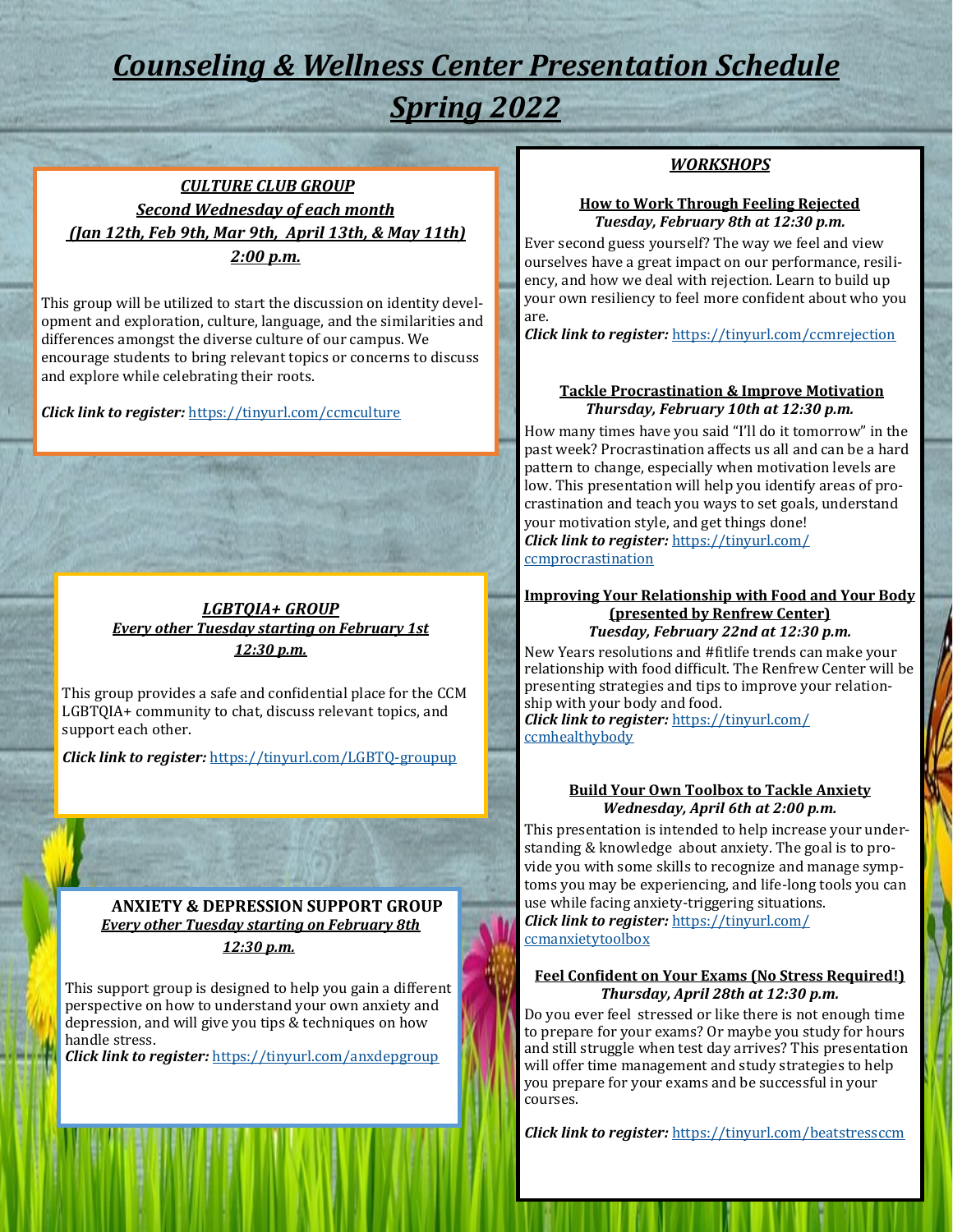## *Counseling & Wellness Center Presentation Schedule Spring 2022*

### *CULTURE CLUB GROUP Second Wednesday of each month (Jan 12th, Feb 9th, Mar 9th, April 13th, & May 11th) 2:00 p.m.*

This group will be utilized to start the discussion on identity development and exploration, culture, language, and the similarities and differences amongst the diverse culture of our campus. We encourage students to bring relevant topics or concerns to discuss and explore while celebrating their roots.

*Click link to register:* [https://tinyurl.com/ccmculture](Click%20link%20to%20register:)

#### *LGBTQIA+ GROUP Every other Tuesday starting on February 1st 12:30 p.m.*

This group provides a safe and confidential place for the CCM LGBTQIA+ community to chat, discuss relevant topics, and support each other.

*Click link to register:* [https://tinyurl.com/LGBTQ](https://tinyurl.com/LGBTQ-groupup)-groupup

**ANXIETY & DEPRESSION SUPPORT GROUP** *Every other Tuesday starting on February 8th 12:30 p.m.* 

This support group is designed to help you gain a different perspective on how to understand your own anxiety and depression, and will give you tips & techniques on how handle stress.

*Click link to register:* <https://tinyurl.com/anxdepgroup>

#### *WORKSHOPS*

#### **How to Work Through Feeling Rejected**  *Tuesday, February 8th at 12:30 p.m.*

Ever second guess yourself? The way we feel and view ourselves have a great impact on our performance, resiliency, and how we deal with rejection. Learn to build up your own resiliency to feel more confident about who you are.

*Click link to register:* <https://tinyurl.com/ccmrejection>

#### **Tackle Procrastination & Improve Motivation** *Thursday, February 10th at 12:30 p.m.*

How many times have you said "I'll do it tomorrow" in the past week? Procrastination affects us all and can be a hard pattern to change, especially when motivation levels are low. This presentation will help you identify areas of procrastination and teach you ways to set goals, understand your motivation style, and get things done! *Click link to register:* [https://tinyurl.com/](https://tinyurl.com/ccmprocrastination) [ccmprocrastination](https://tinyurl.com/ccmprocrastination)

#### **Improving Your Relationship with Food and Your Body (presented by Renfrew Center)**  *Tuesday, February 22nd at 12:30 p.m.*

New Years resolutions and #fitlife trends can make your relationship with food difficult. The Renfrew Center will be presenting strategies and tips to improve your relationship with your body and food. *Click link to register:* [https://tinyurl.com/](https://tinyurl.com/ccmhealthybody) [ccmhealthybody](https://tinyurl.com/ccmhealthybody)

#### **Build Your Own Toolbox to Tackle Anxiety**  *Wednesday, April 6th at 2:00 p.m.*

This presentation is intended to help increase your understanding & knowledge about anxiety. The goal is to provide you with some skills to recognize and manage symptoms you may be experiencing, and life-long tools you can use while facing anxiety-triggering situations. *Click link to register:* [https://tinyurl.com/](https://tinyurl.com/ccmanxietytoolbox) [ccmanxietytoolbox](https://tinyurl.com/ccmanxietytoolbox)

#### **Feel Confident on Your Exams (No Stress Required!)** *Thursday, April 28th at 12:30 p.m.*

Do you ever feel stressed or like there is not enough time to prepare for your exams? Or maybe you study for hours and still struggle when test day arrives? This presentation will offer time management and study strategies to help you prepare for your exams and be successful in your courses.

*Click link to register:* <https://tinyurl.com/beatstressccm>